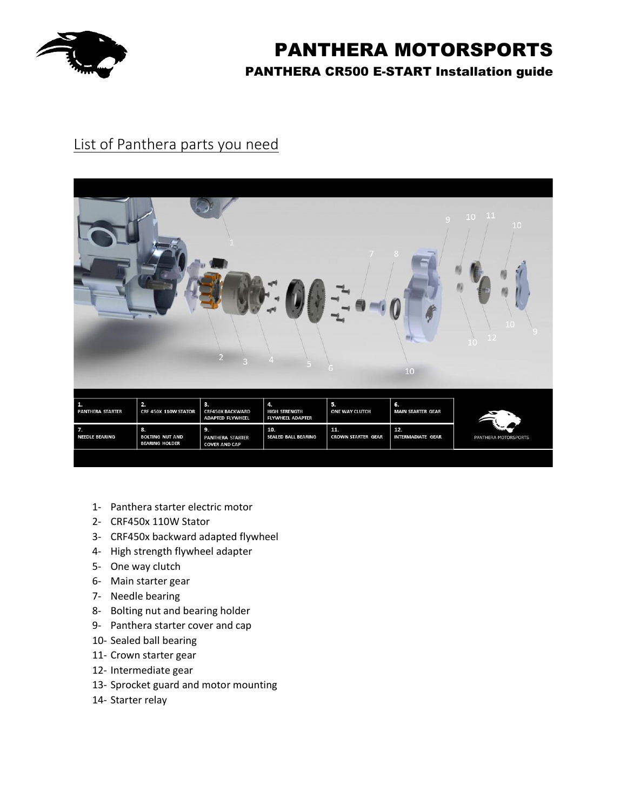

## List of Panthera parts you need

|                                         |                                                       |                                                          |                                                       |                                  | Q<br>8<br>10                    | $10 - 11$<br>10      |
|-----------------------------------------|-------------------------------------------------------|----------------------------------------------------------|-------------------------------------------------------|----------------------------------|---------------------------------|----------------------|
| 1.<br><b>PANTHERA STARTER</b>           | 2.<br>CRF 450X 110W STATOR                            | 3.<br><b>CRF450X BACKWARD</b><br><b>ADAPTED FLYWHEEL</b> | 4.<br><b>HIGH STRENGTH</b><br><b>FLYWHEEL ADAPTER</b> | 5.<br>ONE WAY CLUTCH             | 6.<br><b>MAIN STARTER GEAR</b>  |                      |
| $\overline{7}$<br><b>NEEDLE BEARING</b> | 8.<br><b>BOLTING NUT AND</b><br><b>BEARING HOLDER</b> | 9.<br><b>PANTHERA STARTER</b><br><b>COVER AND CAP</b>    | 10.<br><b>SEALED BALL BEARING</b>                     | 11.<br><b>CROWN STARTER GEAR</b> | 12.<br><b>INTERMADIATE GEAR</b> | PANTHERA MOTORSPORTS |
|                                         |                                                       |                                                          |                                                       |                                  |                                 |                      |

- 1- Panthera starter electric motor
- 2- CRF450x 110W Stator
- 3- CRF450x backward adapted flywheel
- 4- High strength flywheel adapter
- 5- One way clutch
- 6- Main starter gear
- 7- Needle bearing
- 8- Bolting nut and bearing holder
- 9- Panthera starter cover and cap
- 10- Sealed ball bearing
- 11- Crown starter gear
- 12- Intermediate gear
- 13- Sprocket guard and motor mounting
- 14- Starter relay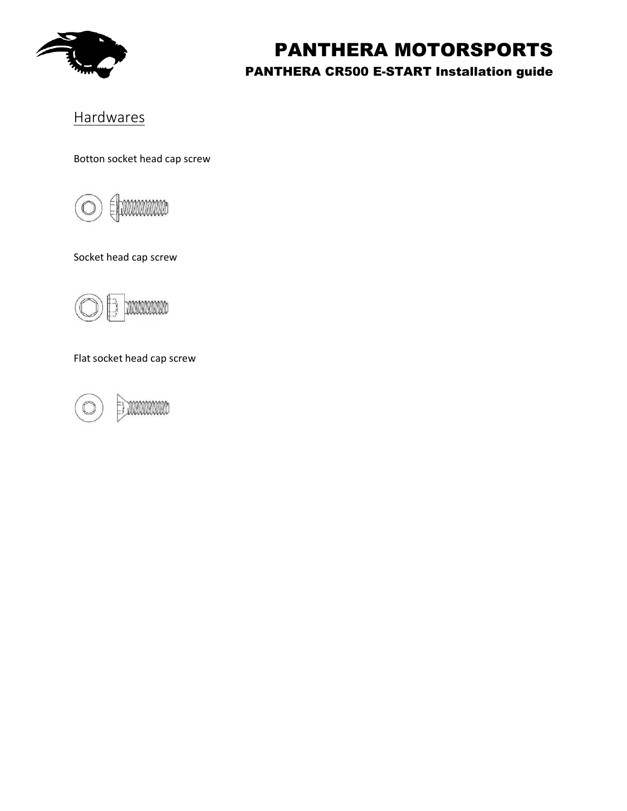

### **Hardwares**

Botton socket head cap screw



Socket head cap screw



Flat socket head cap screw

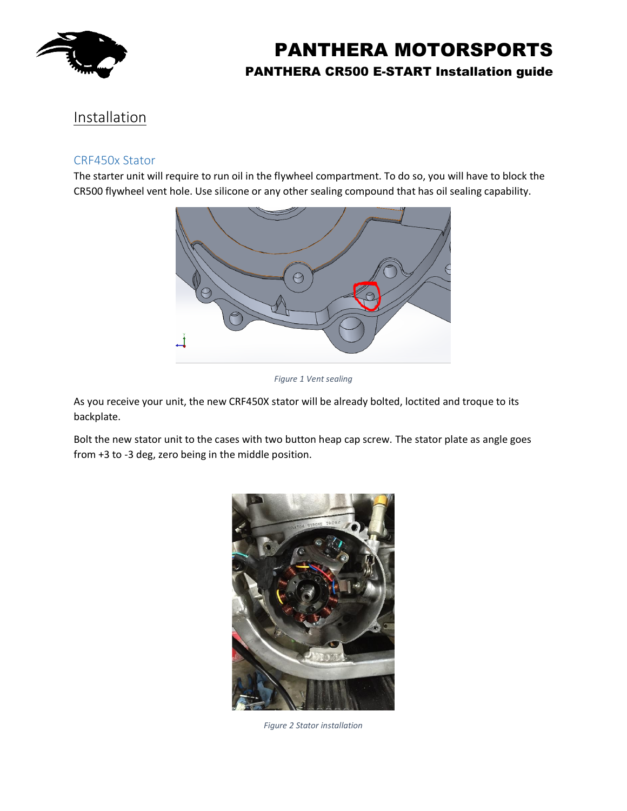

### Installation

#### CRF450x Stator

The starter unit will require to run oil in the flywheel compartment. To do so, you will have to block the CR500 flywheel vent hole. Use silicone or any other sealing compound that has oil sealing capability.



*Figure 1 Vent sealing*

As you receive your unit, the new CRF450X stator will be already bolted, loctited and troque to its backplate.

Bolt the new stator unit to the cases with two button heap cap screw. The stator plate as angle goes from +3 to -3 deg, zero being in the middle position.



*Figure 2 Stator installation*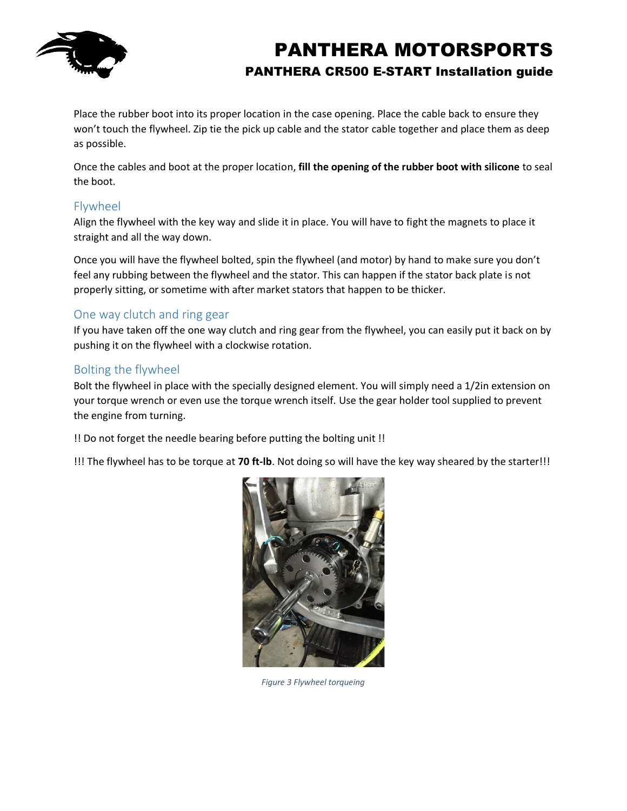

Place the rubber boot into its proper location in the case opening. Place the cable back to ensure they won't touch the flywheel. Zip tie the pick up cable and the stator cable together and place them as deep as possible.

Once the cables and boot at the proper location, **fill the opening of the rubber boot with silicone** to seal the boot.

### Flywheel

Align the flywheel with the key way and slide it in place. You will have to fight the magnets to place it straight and all the way down.

Once you will have the flywheel bolted, spin the flywheel (and motor) by hand to make sure you don't feel any rubbing between the flywheel and the stator. This can happen if the stator back plate is not properly sitting, or sometime with after market stators that happen to be thicker.

### One way clutch and ring gear

If you have taken off the one way clutch and ring gear from the flywheel, you can easily put it back on by pushing it on the flywheel with a clockwise rotation.

### Bolting the flywheel

Bolt the flywheel in place with the specially designed element. You will simply need a 1/2in extension on your torque wrench or even use the torque wrench itself. Use the gear holder tool supplied to prevent the engine from turning.

!! Do not forget the needle bearing before putting the bolting unit !!

!!! The flywheel has to be torque at **70 ft-lb**. Not doing so will have the key way sheared by the starter!!!



*Figure 3 Flywheel torqueing*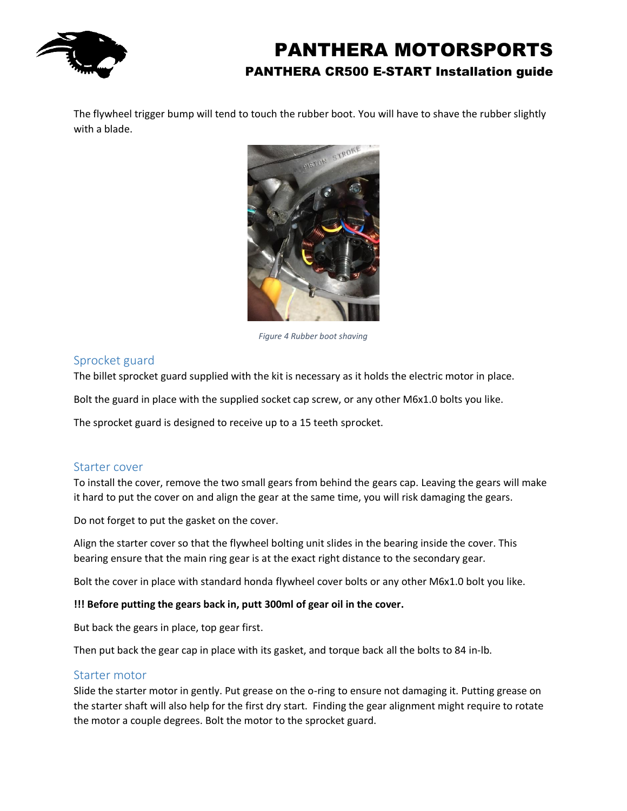

The flywheel trigger bump will tend to touch the rubber boot. You will have to shave the rubber slightly with a blade.



*Figure 4 Rubber boot shaving*

#### Sprocket guard

The billet sprocket guard supplied with the kit is necessary as it holds the electric motor in place.

Bolt the guard in place with the supplied socket cap screw, or any other M6x1.0 bolts you like.

The sprocket guard is designed to receive up to a 15 teeth sprocket.

#### Starter cover

To install the cover, remove the two small gears from behind the gears cap. Leaving the gears will make it hard to put the cover on and align the gear at the same time, you will risk damaging the gears.

Do not forget to put the gasket on the cover.

Align the starter cover so that the flywheel bolting unit slides in the bearing inside the cover. This bearing ensure that the main ring gear is at the exact right distance to the secondary gear.

Bolt the cover in place with standard honda flywheel cover bolts or any other M6x1.0 bolt you like.

#### **!!! Before putting the gears back in, putt 300ml of gear oil in the cover.**

But back the gears in place, top gear first.

Then put back the gear cap in place with its gasket, and torque back all the bolts to 84 in-lb.

#### Starter motor

Slide the starter motor in gently. Put grease on the o-ring to ensure not damaging it. Putting grease on the starter shaft will also help for the first dry start. Finding the gear alignment might require to rotate the motor a couple degrees. Bolt the motor to the sprocket guard.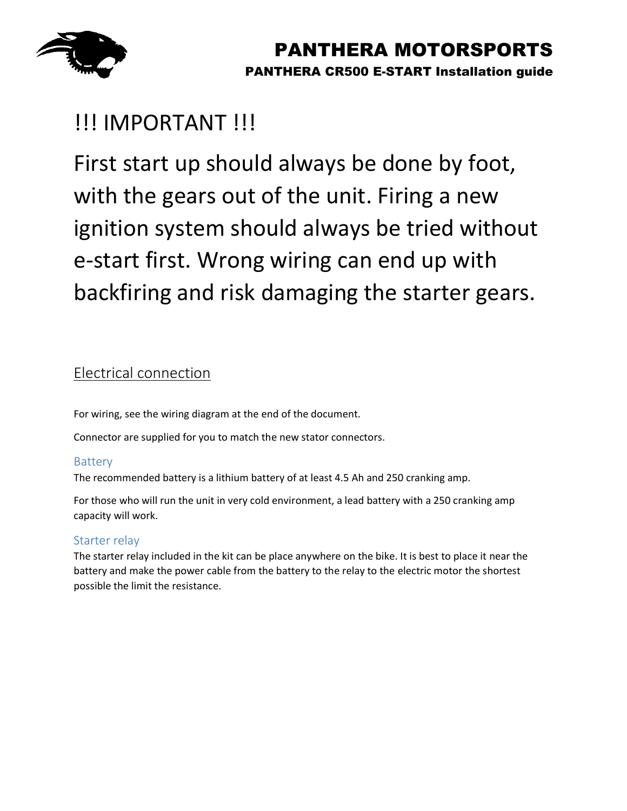

# !!! IMPORTANT !!!

First start up should always be done by foot, with the gears out of the unit. Firing a new ignition system should always be tried without e-start first. Wrong wiring can end up with backfiring and risk damaging the starter gears.

### Electrical connection

For wiring, see the wiring diagram at the end of the document.

Connector are supplied for you to match the new stator connectors.

### Battery

The recommended battery is a lithium battery of at least 4.5 Ah and 250 cranking amp.

For those who will run the unit in very cold environment, a lead battery with a 250 cranking amp capacity will work.

### Starter relay

The starter relay included in the kit can be place anywhere on the bike. It is best to place it near the battery and make the power cable from the battery to the relay to the electric motor the shortest possible the limit the resistance.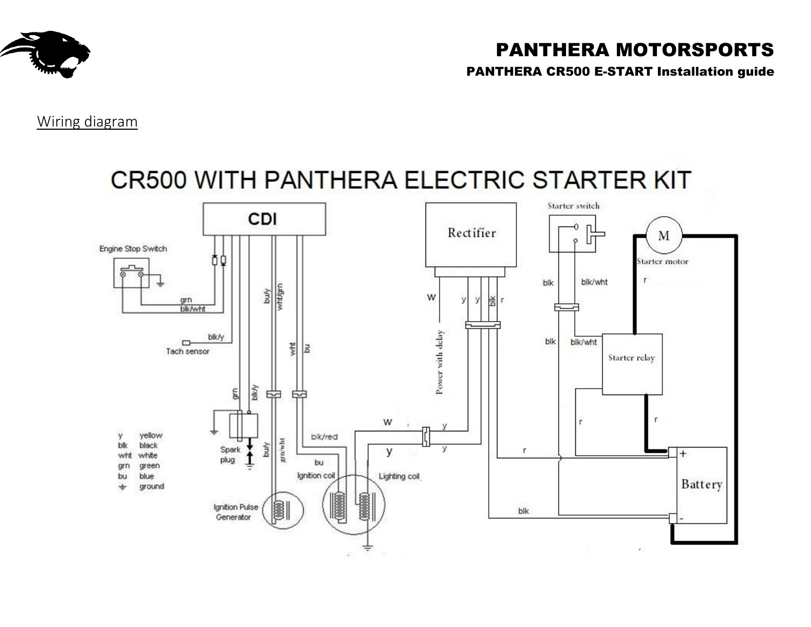

# PANTHERA MOTORSPORTS

PANTHERA CR500 E-START Installation guide

Wiring diagram

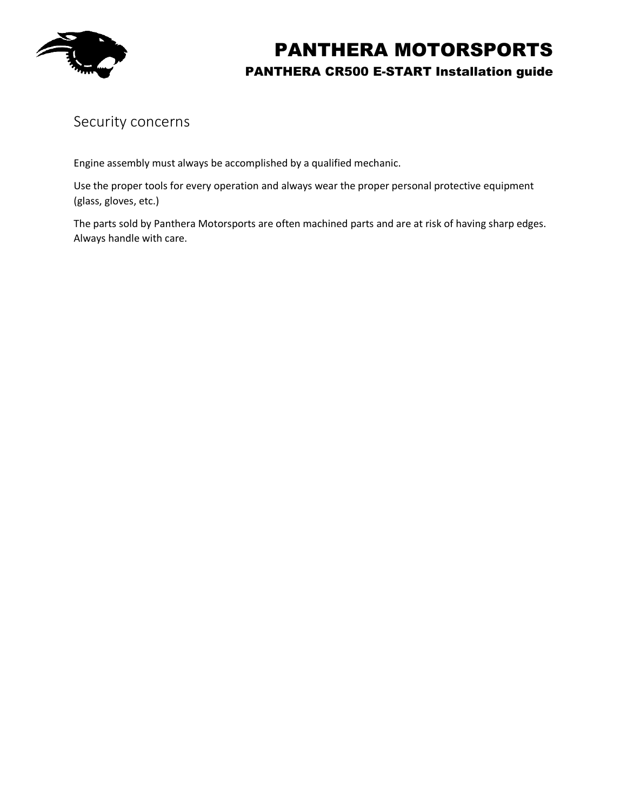

### Security concerns

Engine assembly must always be accomplished by a qualified mechanic.

Use the proper tools for every operation and always wear the proper personal protective equipment (glass, gloves, etc.)

The parts sold by Panthera Motorsports are often machined parts and are at risk of having sharp edges. Always handle with care.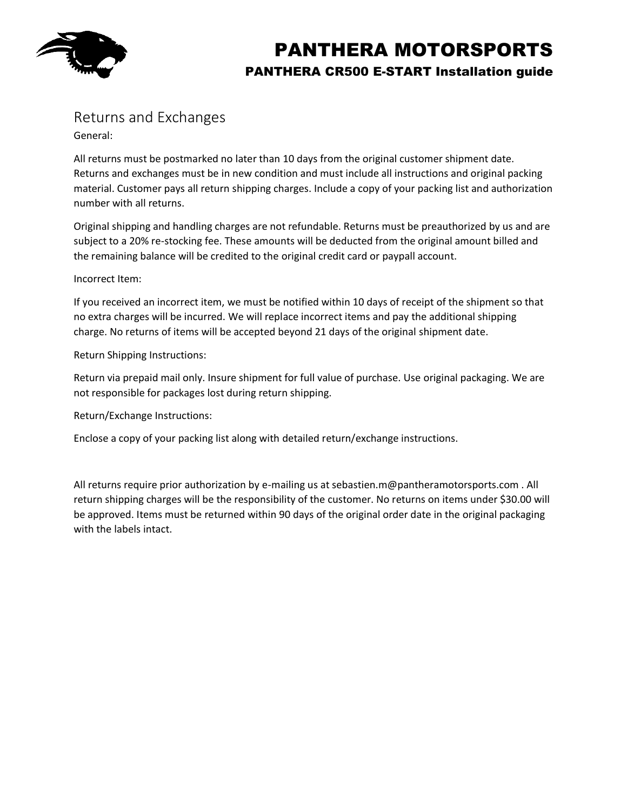

## Returns and Exchanges

General:

All returns must be postmarked no later than 10 days from the original customer shipment date. Returns and exchanges must be in new condition and must include all instructions and original packing material. Customer pays all return shipping charges. Include a copy of your packing list and authorization number with all returns.

Original shipping and handling charges are not refundable. Returns must be preauthorized by us and are subject to a 20% re-stocking fee. These amounts will be deducted from the original amount billed and the remaining balance will be credited to the original credit card or paypall account.

#### Incorrect Item:

If you received an incorrect item, we must be notified within 10 days of receipt of the shipment so that no extra charges will be incurred. We will replace incorrect items and pay the additional shipping charge. No returns of items will be accepted beyond 21 days of the original shipment date.

Return Shipping Instructions:

Return via prepaid mail only. Insure shipment for full value of purchase. Use original packaging. We are not responsible for packages lost during return shipping.

Return/Exchange Instructions:

Enclose a copy of your packing list along with detailed return/exchange instructions.

All returns require prior authorization by e-mailing us at sebastien.m@pantheramotorsports.com . All return shipping charges will be the responsibility of the customer. No returns on items under \$30.00 will be approved. Items must be returned within 90 days of the original order date in the original packaging with the labels intact.